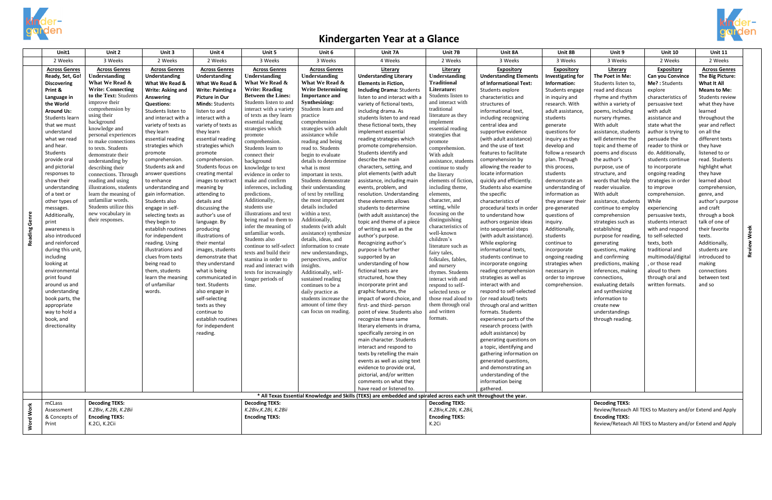

## **Kindergarten Year at a Glance**

|                | Unit1                          | Unit 2                                          | Unit 3                             | Unit 4                      | Unit 5                                        | Unit 6                                      | Unit 7A                                                                                                           | Unit 7B                           | Unit 8A                            | Unit 8B                                                    | Unit 9                                                     | Unit 10                           | <b>Unit 11</b>                 |        |
|----------------|--------------------------------|-------------------------------------------------|------------------------------------|-----------------------------|-----------------------------------------------|---------------------------------------------|-------------------------------------------------------------------------------------------------------------------|-----------------------------------|------------------------------------|------------------------------------------------------------|------------------------------------------------------------|-----------------------------------|--------------------------------|--------|
|                | 2 Weeks                        | 3 Weeks                                         | 2 Weeks                            | 2 Weeks                     | 3 Weeks                                       | 3 Weeks                                     | 4 Weeks                                                                                                           | 2 Weeks                           | 3 Weeks                            | 3 Weeks                                                    | 3 Weeks                                                    | 2 Weeks                           | 2 Weeks                        |        |
|                | <b>Across Genres</b>           | <b>Across Genres</b>                            | <b>Across Genres</b>               | <b>Across Genres</b>        | <b>Across Genres</b>                          | <b>Across Genres</b>                        | Literary                                                                                                          | Literary                          | <b>Expository</b>                  | <b>Expository</b>                                          | Literary                                                   | <b>Expository</b>                 | <b>Across Genres</b>           |        |
|                | Ready, Set, Go!                | <b>Understanding</b>                            | Understanding                      | <b>Understanding</b>        | Understanding                                 | Understanding                               | <b>Understanding Literary</b>                                                                                     | Understanding                     | <b>Understanding Elements</b>      | Investigating for                                          | The Poet in Me:                                            | Can you Convince                  | The Big Picture:               |        |
|                | <b>Discovering</b>             | What We Read &                                  | What We Read &                     | What We Read &              | What We Read &                                | What We Read &                              | <b>Elements in Fiction,</b>                                                                                       | <b>Traditional</b>                | of Informational Text:             | Information:                                               | Students listen to,                                        | Me?: Students                     | What It All                    |        |
|                | Print &                        | <b>Write: Connecting</b>                        | Write: Asking and                  | <b>Write: Painting a</b>    | <b>Write: Reading</b>                         | <b>Write Determining</b>                    | <b>Including Drama: Students</b>                                                                                  | Literature:                       | Students explore                   | Students engage                                            | read and discuss                                           | explore                           | <b>Means to Me:</b>            |        |
|                | Language in                    | to the Text: Students                           | Answering                          | Picture in Our              | <b>Between the Lines:</b>                     | <b>Importance and</b>                       | listen to and interact with a                                                                                     | Students listen to                | characteristics and                | in inquiry and                                             | rhyme and rhythm                                           | characteristics of                | <b>Students review</b>         |        |
|                | the World                      | improve their                                   | <b>Questions:</b>                  | <b>Minds: Students</b>      | Students listen to and                        | Synthesizing:                               | variety of fictional texts,                                                                                       | and interact with                 | structures of                      | research. With                                             | within a variety of                                        | persuasive text                   | what they have                 |        |
|                | <b>Around Us:</b>              | comprehension by                                | Students listen to                 | listen to and               | interact with a variety                       | Students learn and                          | including drama. As                                                                                               | traditional                       | informational text,                | adult assistance,                                          | poems, including                                           | with adult                        | learned                        |        |
|                | Students learn                 | using their<br>background                       | and interact with a                | interact with a             | of texts as they learn<br>essential reading   | practice<br>comprehension                   | students listen to and read                                                                                       | literature as they<br>implement   | including recognizing              | students                                                   | nursery rhymes.                                            | assistance and                    | throughout the                 |        |
|                | that we must                   | knowledge and                                   | variety of texts as                | variety of texts as         | strategies which                              | strategies with adult                       | these fictional texts, they                                                                                       | essential reading                 | central idea and                   | generate                                                   | With adult                                                 | state what the                    | year and reflect               |        |
|                | understand                     | personal experiences                            | they learn                         | they learn                  | promote                                       | assistance while                            | implement essential                                                                                               | strategies that                   | supportive evidence                | questions for                                              | assistance, students                                       | author is trying to               | on all the                     |        |
|                | what we read                   | to make connections                             | essential reading                  | essential reading           | comprehension.                                | reading and being                           | reading strategies which                                                                                          | promote                           | (with adult assistance)            | inquiry as they                                            | will determine the                                         | persuade the                      | different texts                |        |
|                | and hear.                      | to texts. Students                              | strategies which                   | strategies which            | Students learn to                             | read to. Students                           | promote comprehension.                                                                                            | comprehension.                    | and the use of text                | develop and                                                | topic and theme of                                         | reader to think or                | they have                      |        |
|                | Students                       | demonstrate their                               | promote                            | promote                     | connect their                                 | begin to evaluate                           | Students identify and                                                                                             | With adult                        | features to facilitate             | follow a research                                          | poems and discuss                                          | do. Additionally,                 | listened to or                 |        |
|                | provide oral                   | understanding by                                | comprehension                      | comprehension               | background                                    | details to determine                        | describe the main                                                                                                 | assistance, students              | comprehension by                   | plan. Through                                              | the author's                                               | students continue                 | read. Students                 |        |
|                | and pictorial                  | describing their                                | Students ask and                   | Students focus on           | knowledge to text                             | what is most                                | characters, setting, and                                                                                          | continue to study                 | allowing the reader to             | this process,                                              | purpose, use of                                            | to incorporate                    | highlight what                 |        |
|                | responses to                   | connections. Through                            | answer questions                   | creating mental             | evidence in order to                          | important in texts.                         | plot elements (with adult                                                                                         | the literary                      | locate information                 | students                                                   | structure, and                                             | ongoing reading                   | they have                      |        |
|                | show their                     | reading and using                               | to enhance                         | images to extract           | make and confirm                              | Students demonstrate                        | assistance, including main                                                                                        | elements of fiction.              | quickly and efficiently.           | demonstrate an                                             | words that help the                                        | strategies in order               | learned about                  |        |
|                | understanding                  | illustrations, students<br>learn the meaning of | understanding and                  | meaning by                  | inferences, including<br>predictions.         | their understanding<br>of text by retelling | events, problem, and                                                                                              | including theme.<br>elements,     | Students also examine              | understanding of<br>information as                         | reader visualize.<br>With adult                            | to improve                        | comprehension,                 |        |
|                | of a text or<br>other types of | unfamiliar words.                               | gain information.<br>Students also | attending to<br>details and | Additionally,                                 | the most important                          | resolution. Understanding<br>these elements allows                                                                | character, and                    | the specific<br>characteristics of | they answer their                                          | assistance, students                                       | comprehension.<br>While           | genre, and<br>author's purpose |        |
|                |                                | Students utilize this                           | engage in self-                    | discussing the              | students use                                  | details included                            | students to determine                                                                                             | setting, while                    | procedural texts in order          |                                                            |                                                            |                                   | and craft                      |        |
|                | messages.<br>Additionally,     | new vocabulary in                               | selecting texts as                 | author's use of             | illustrations and text                        | within a text.                              | (with adult assistance) the                                                                                       | focusing on the                   | to understand how                  | pre-generated<br>questions of                              | continue to employ<br>comprehension                        | experiencing<br>persuasive texts, | through a book                 |        |
| Genre          | print                          | their responses.                                | they begin to                      | language. By                | being read to them to                         | Additionally,                               | topic and theme of a piece                                                                                        | distinguishing                    | authors organize ideas             | inquiry.                                                   | strategies such as                                         | students interact                 | talk of one of                 |        |
|                | awareness is                   |                                                 | establish routines                 | producing                   | infer the meaning of                          | students (with adult                        | of writing as well as the                                                                                         | characteristics of                | into sequential steps              | Additionally,                                              | establishing                                               | with and respond                  | their favorite                 |        |
|                | also introduced                |                                                 | for independent                    | illustrations of            | unfamiliar words.                             | assistance) synthesize                      | author's purpose.                                                                                                 | well-known                        | (with adult assistance).           | students                                                   | purpose for reading,                                       | to self-selected                  | texts.                         | Week   |
| <b>Reading</b> | and reinforced                 |                                                 | reading. Using                     | their mental                | Students also                                 | details, ideas, and                         | Recognizing author's                                                                                              | children's                        | While exploring                    | continue to                                                | generating                                                 | texts, both                       | Additionally,                  |        |
|                | during this unit.              |                                                 | illustrations and                  | images, students            | continue to self-select                       | information to create                       | purpose is further                                                                                                | literature such as                | informational texts,               | incorporate                                                | questions, making                                          | traditional and                   | students are                   | Review |
|                | including                      |                                                 | clues from texts                   | demonstrate that            | texts and build their                         | new understandings,                         | supported by an                                                                                                   | fairy tales,                      | students continue to               | ongoing reading                                            | and confirming                                             | multimodal/digital                | introduced to                  |        |
|                | looking at                     |                                                 | being read to                      | they understand             | stamina in order to<br>read and interact with | perspectives, and/or<br>insights.           | understanding of how                                                                                              | folktales, fables,<br>and nursery | incorporate ongoing                | strategies when                                            | predictions, making                                        | or those read                     | making                         |        |
|                | environmental                  |                                                 | them, students                     | what is being               | texts for increasingly                        | Additionally, self-                         | fictional texts are                                                                                               | rhymes. Students                  | reading comprehension              | necessary in                                               | inferences, making                                         | aloud to them                     | connections                    |        |
|                | print found                    |                                                 | learn the meaning                  | communicated i              | longer periods of                             | sustained reading                           | structured, how they                                                                                              | interact with and                 | strategies as well as              | order to improve                                           | connections,                                               | through oral and                  | between text                   |        |
|                | around us and                  |                                                 | of unfamiliar                      | text. Students              | time.                                         | continues to be a                           | incorporate print and                                                                                             | respond to self-                  | interact with and                  | comprehension.                                             | evaluating details                                         | written formats.                  | and so                         |        |
|                | understanding                  |                                                 | words.                             | also engage in              |                                               | daily practice as                           | graphic features, the                                                                                             | selected texts or                 | respond to self-selected           |                                                            | and synthesizing                                           |                                   |                                |        |
|                | book parts, the                |                                                 |                                    | self-selecting              |                                               | students increase the                       | impact of word choice, and                                                                                        | those read aloud to               | (or read aloud) texts              |                                                            | information to                                             |                                   |                                |        |
|                | appropriate                    |                                                 |                                    | texts as they               |                                               | amount of time they                         | first- and third- person                                                                                          | them through oral                 | through oral and written           |                                                            | create new                                                 |                                   |                                |        |
|                | way to hold a                  |                                                 |                                    | continue to                 |                                               | can focus on reading.                       | point of view. Students also                                                                                      | and written                       | formats. Students                  |                                                            | understandings                                             |                                   |                                |        |
|                | book, and                      |                                                 |                                    | establish routines          |                                               |                                             | recognize these same                                                                                              | formats.                          | experience parts of the            |                                                            | through reading.                                           |                                   |                                |        |
|                | directionality                 |                                                 |                                    | for independent             |                                               |                                             | literary elements in drama,                                                                                       |                                   | research process (with             |                                                            |                                                            |                                   |                                |        |
|                |                                |                                                 |                                    | reading.                    |                                               |                                             | specifically zeroing in on                                                                                        |                                   | adult assistance) by               |                                                            |                                                            |                                   |                                |        |
|                |                                |                                                 |                                    |                             |                                               |                                             | main character. Students                                                                                          |                                   | generating questions on            |                                                            |                                                            |                                   |                                |        |
|                |                                |                                                 |                                    |                             |                                               |                                             | interact and respond to                                                                                           |                                   | a topic, identifying and           |                                                            |                                                            |                                   |                                |        |
|                |                                |                                                 |                                    |                             |                                               |                                             | texts by retelling the main                                                                                       |                                   | gathering information on           |                                                            |                                                            |                                   |                                |        |
|                |                                |                                                 |                                    |                             |                                               |                                             | events as well as using text                                                                                      |                                   | generated questions,               |                                                            |                                                            |                                   |                                |        |
|                |                                |                                                 |                                    |                             |                                               |                                             | evidence to provide oral,                                                                                         |                                   | and demonstrating an               |                                                            |                                                            |                                   |                                |        |
|                |                                |                                                 |                                    |                             |                                               |                                             | pictorial, and/or written                                                                                         |                                   | understanding of the               |                                                            |                                                            |                                   |                                |        |
|                |                                |                                                 |                                    |                             |                                               |                                             | comments on what they<br>have read or listened to.                                                                |                                   | information being<br>gathered.     |                                                            |                                                            |                                   |                                |        |
|                |                                |                                                 |                                    |                             |                                               |                                             | * All Texas Essential Knowledge and Skills (TEKS) are embedded and spiraled across each unit throughout the year. |                                   |                                    |                                                            |                                                            |                                   |                                |        |
|                | mCLass                         | <b>Decoding TEKS:</b>                           |                                    |                             | <b>Decoding TEKS:</b>                         |                                             |                                                                                                                   | <b>Decoding TEKS:</b>             |                                    |                                                            | <b>Decoding TEKS:</b>                                      |                                   |                                |        |
| Word Work      | Assessment                     | K.2Biv, K.2Bi, K.2Bii                           |                                    |                             | K.2Biv, K.2Bi, K.2Bii                         |                                             |                                                                                                                   | K.2Biv, K.2Bi, K.2Bii,            |                                    |                                                            | Review/Reteach All TEKS to Mastery and/or Extend and Apply |                                   |                                |        |
|                | & Concepts of                  | <b>Encoding TEKS:</b><br><b>Encoding TEKS:</b>  |                                    |                             |                                               |                                             | <b>Encoding TEKS:</b>                                                                                             |                                   |                                    | <b>Encoding TEKS:</b>                                      |                                                            |                                   |                                |        |
|                | Print                          | K.2Ci, K.2Cii                                   |                                    |                             |                                               |                                             | K.2Ci                                                                                                             |                                   |                                    | Review/Reteach All TEKS to Mastery and/or Extend and Apply |                                                            |                                   |                                |        |
|                |                                |                                                 |                                    |                             |                                               |                                             |                                                                                                                   |                                   |                                    |                                                            |                                                            |                                   |                                |        |